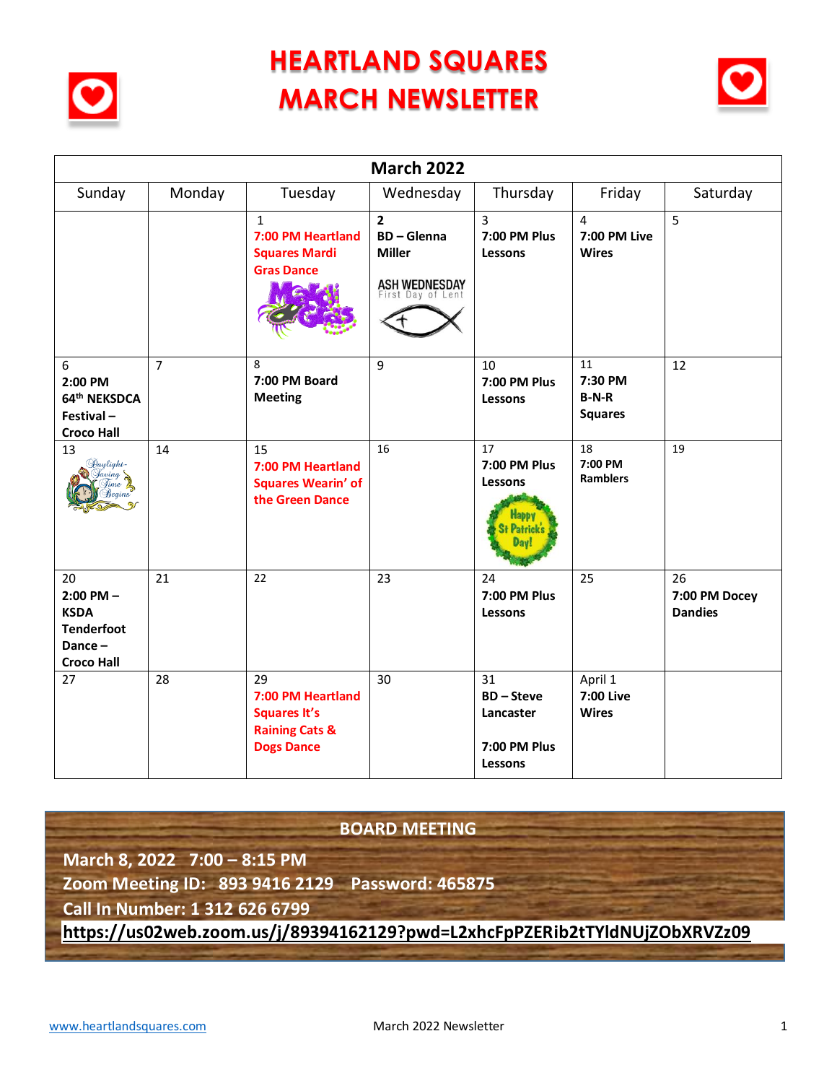

# **HEARTLAND SQUARES MARCH NEWSLETTER**



|                                                                                        |                |                                                                                                  | <b>March 2022</b>                                                                                |                                                               |                                             |                                       |
|----------------------------------------------------------------------------------------|----------------|--------------------------------------------------------------------------------------------------|--------------------------------------------------------------------------------------------------|---------------------------------------------------------------|---------------------------------------------|---------------------------------------|
| Sunday                                                                                 | Monday         | Tuesday                                                                                          | Wednesday                                                                                        | Thursday                                                      | Friday                                      | Saturday                              |
|                                                                                        |                | $\mathbf{1}$<br>7:00 PM Heartland<br><b>Squares Mardi</b><br><b>Gras Dance</b>                   | $\overline{2}$<br><b>BD-Glenna</b><br><b>Miller</b><br><b>ASH WEDNESDAY</b><br>First Day of Lent | 3<br>7:00 PM Plus<br>Lessons                                  | 4<br>7:00 PM Live<br><b>Wires</b>           | 5                                     |
| 6<br>2:00 PM<br>64th NEKSDCA<br>Festival-<br><b>Croco Hall</b>                         | $\overline{7}$ | 8<br>7:00 PM Board<br><b>Meeting</b>                                                             | 9                                                                                                | 10<br>7:00 PM Plus<br>Lessons                                 | 11<br>7:30 PM<br>$B-N-R$<br><b>Squares</b>  | 12                                    |
| 13<br>Daylight-                                                                        | 14             | 15<br>7:00 PM Heartland<br><b>Squares Wearin' of</b><br>the Green Dance                          | 16                                                                                               | 17<br>7:00 PM Plus<br>Lessons<br>Happy<br>Patric              | 18<br>7:00 PM<br><b>Ramblers</b>            | 19                                    |
| 20<br>$2:00$ PM $-$<br><b>KSDA</b><br><b>Tenderfoot</b><br>Dance-<br><b>Croco Hall</b> | 21             | 22                                                                                               | 23                                                                                               | 24<br>7:00 PM Plus<br>Lessons                                 | 25                                          | 26<br>7:00 PM Docey<br><b>Dandies</b> |
| 27                                                                                     | 28             | 29<br>7:00 PM Heartland<br><b>Squares It's</b><br><b>Raining Cats &amp;</b><br><b>Dogs Dance</b> | 30                                                                                               | 31<br><b>BD-Steve</b><br>Lancaster<br>7:00 PM Plus<br>Lessons | April 1<br><b>7:00 Live</b><br><b>Wires</b> |                                       |

### **BOARD MEETING**

**March 8, 2022 7:00 – 8:15 PM**

**Zoom Meeting ID: 893 9416 2129 Password: 465875**

**Call In Number: 1 312 626 6799** 

**Letter from the Presidents . . . [https://us02web.zoom.us/j/89394162129?pwd=L2xhcFpPZERib2tTYldNUjZObXRVZz09](https://www.google.com/url?q=https%3A%2F%2Fus02web.zoom.us%2Fj%2F89394162129%3Fpwd%3DL2xhcFpPZERib2tTYldNUjZObXRVZz09&sa=D&ust=1639955296253000&usg=AOvVaw1V6fAGEbmyRWuO2wUZjYUJ)**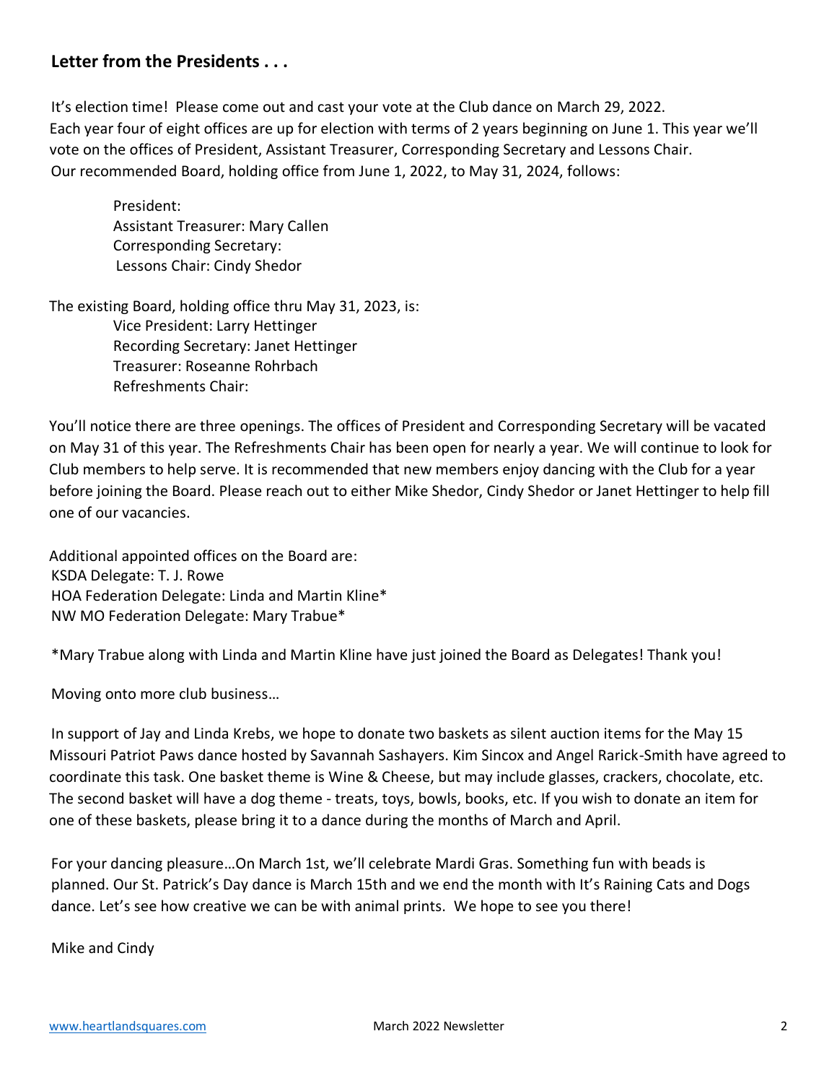## **Letter from the Presidents . . .**

It's election time! Please come out and cast your vote at the Club dance on March 29, 2022. Each year four of eight offices are up for election with terms of 2 years beginning on June 1. This year we'll vote on the offices of President, Assistant Treasurer, Corresponding Secretary and Lessons Chair. Our recommended Board, holding office from June 1, 2022, to May 31, 2024, follows:

President: Assistant Treasurer: Mary Callen Corresponding Secretary: Lessons Chair: Cindy Shedor

The existing Board, holding office thru May 31, 2023, is: Vice President: Larry Hettinger Recording Secretary: Janet Hettinger Treasurer: Roseanne Rohrbach Refreshments Chair:

You'll notice there are three openings. The offices of President and Corresponding Secretary will be vacated on May 31 of this year. The Refreshments Chair has been open for nearly a year. We will continue to look for Club members to help serve. It is recommended that new members enjoy dancing with the Club for a year before joining the Board. Please reach out to either Mike Shedor, Cindy Shedor or Janet Hettinger to help fill one of our vacancies.

Additional appointed offices on the Board are: KSDA Delegate: T. J. Rowe HOA Federation Delegate: Linda and Martin Kline\* NW MO Federation Delegate: Mary Trabue\*

\*Mary Trabue along with Linda and Martin Kline have just joined the Board as Delegates! Thank you!

Moving onto more club business…

In support of Jay and Linda Krebs, we hope to donate two baskets as silent auction items for the May 15 Missouri Patriot Paws dance hosted by Savannah Sashayers. Kim Sincox and Angel Rarick-Smith have agreed to coordinate this task. One basket theme is Wine & Cheese, but may include glasses, crackers, chocolate, etc. The second basket will have a dog theme - treats, toys, bowls, books, etc. If you wish to donate an item for one of these baskets, please bring it to a dance during the months of March and April.

For your dancing pleasure…On March 1st, we'll celebrate Mardi Gras. Something fun with beads is planned. Our St. Patrick's Day dance is March 15th and we end the month with It's Raining Cats and Dogs dance. Let's see how creative we can be with animal prints. We hope to see you there!

Mike and Cindy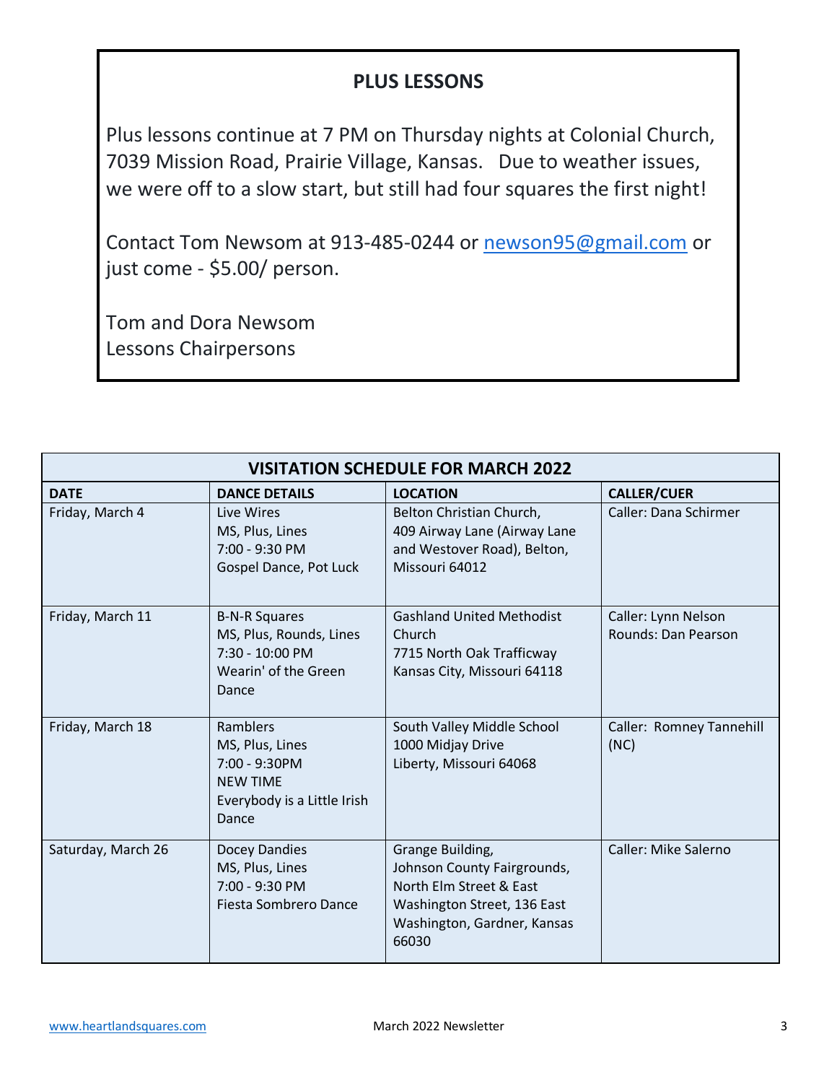# **PLUS LESSONS**

Plus lessons continue at 7 PM on Thursday nights at Colonial Church, 7039 Mission Road, Prairie Village, Kansas. Due to weather issues, we were off to a slow start, but still had four squares the first night!

Contact Tom Newsom at 913-485-0244 or [newson95@gmail.com](mailto:newson95@gmail.com) or just come - \$5.00/ person.

Tom and Dora Newsom Lessons Chairpersons

| <b>VISITATION SCHEDULE FOR MARCH 2022</b> |                                                                                                                |                                                                                                                                                   |                                                   |
|-------------------------------------------|----------------------------------------------------------------------------------------------------------------|---------------------------------------------------------------------------------------------------------------------------------------------------|---------------------------------------------------|
| <b>DATE</b>                               | <b>DANCE DETAILS</b>                                                                                           | <b>LOCATION</b>                                                                                                                                   | <b>CALLER/CUER</b>                                |
| Friday, March 4                           | Live Wires<br>MS, Plus, Lines<br>7:00 - 9:30 PM<br>Gospel Dance, Pot Luck                                      | Belton Christian Church,<br>409 Airway Lane (Airway Lane<br>and Westover Road), Belton,<br>Missouri 64012                                         | Caller: Dana Schirmer                             |
| Friday, March 11                          | <b>B-N-R Squares</b><br>MS, Plus, Rounds, Lines<br>7:30 - 10:00 PM<br>Wearin' of the Green<br>Dance            | <b>Gashland United Methodist</b><br>Church<br>7715 North Oak Trafficway<br>Kansas City, Missouri 64118                                            | Caller: Lynn Nelson<br><b>Rounds: Dan Pearson</b> |
| Friday, March 18                          | <b>Ramblers</b><br>MS, Plus, Lines<br>7:00 - 9:30PM<br><b>NEW TIME</b><br>Everybody is a Little Irish<br>Dance | South Valley Middle School<br>1000 Midjay Drive<br>Liberty, Missouri 64068                                                                        | Caller: Romney Tannehill<br>(NC)                  |
| Saturday, March 26                        | Docey Dandies<br>MS, Plus, Lines<br>7:00 - 9:30 PM<br>Fiesta Sombrero Dance                                    | Grange Building,<br>Johnson County Fairgrounds,<br>North Elm Street & East<br>Washington Street, 136 East<br>Washington, Gardner, Kansas<br>66030 | <b>Caller: Mike Salerno</b>                       |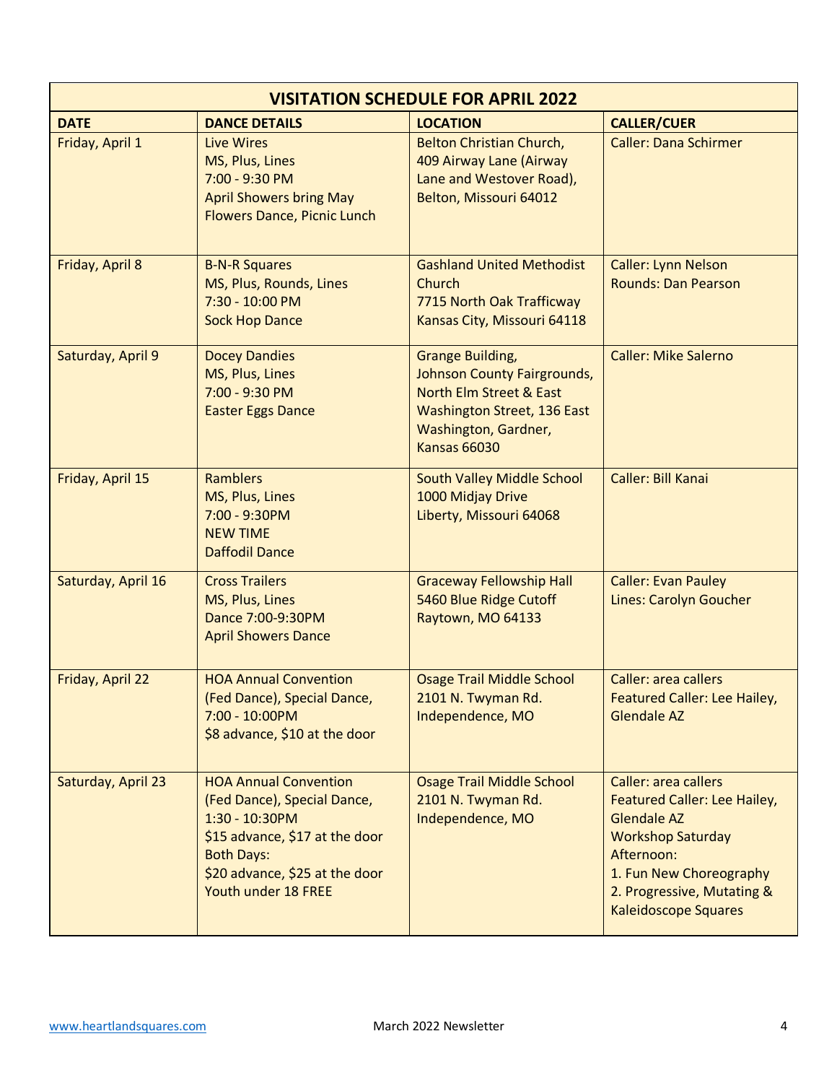| <b>VISITATION SCHEDULE FOR APRIL 2022</b> |                                                                                                                                                                                               |                                                                                                                                                                                          |                                                                                                                                                                                                                     |  |
|-------------------------------------------|-----------------------------------------------------------------------------------------------------------------------------------------------------------------------------------------------|------------------------------------------------------------------------------------------------------------------------------------------------------------------------------------------|---------------------------------------------------------------------------------------------------------------------------------------------------------------------------------------------------------------------|--|
| <b>DATE</b>                               | <b>DANCE DETAILS</b>                                                                                                                                                                          | <b>LOCATION</b>                                                                                                                                                                          | <b>CALLER/CUER</b>                                                                                                                                                                                                  |  |
| Friday, April 1                           | <b>Live Wires</b><br>MS, Plus, Lines<br>7:00 - 9:30 PM<br><b>April Showers bring May</b><br><b>Flowers Dance, Picnic Lunch</b>                                                                | <b>Belton Christian Church,</b><br>409 Airway Lane (Airway<br>Lane and Westover Road),<br>Belton, Missouri 64012                                                                         | <b>Caller: Dana Schirmer</b>                                                                                                                                                                                        |  |
| Friday, April 8                           | <b>B-N-R Squares</b><br>MS, Plus, Rounds, Lines<br>7:30 - 10:00 PM<br><b>Sock Hop Dance</b>                                                                                                   | <b>Gashland United Methodist</b><br>Church<br>7715 North Oak Trafficway<br>Kansas City, Missouri 64118                                                                                   | <b>Caller: Lynn Nelson</b><br><b>Rounds: Dan Pearson</b>                                                                                                                                                            |  |
| Saturday, April 9                         | <b>Docey Dandies</b><br>MS, Plus, Lines<br>7:00 - 9:30 PM<br><b>Easter Eggs Dance</b>                                                                                                         | <b>Grange Building,</b><br><b>Johnson County Fairgrounds,</b><br><b>North Elm Street &amp; East</b><br><b>Washington Street, 136 East</b><br>Washington, Gardner,<br><b>Kansas 66030</b> | <b>Caller: Mike Salerno</b>                                                                                                                                                                                         |  |
| Friday, April 15                          | <b>Ramblers</b><br>MS, Plus, Lines<br>7:00 - 9:30PM<br><b>NEW TIME</b><br><b>Daffodil Dance</b>                                                                                               | <b>South Valley Middle School</b><br>1000 Midjay Drive<br>Liberty, Missouri 64068                                                                                                        | Caller: Bill Kanai                                                                                                                                                                                                  |  |
| Saturday, April 16                        | <b>Cross Trailers</b><br>MS, Plus, Lines<br>Dance 7:00-9:30PM<br><b>April Showers Dance</b>                                                                                                   | <b>Graceway Fellowship Hall</b><br>5460 Blue Ridge Cutoff<br>Raytown, MO 64133                                                                                                           | <b>Caller: Evan Pauley</b><br><b>Lines: Carolyn Goucher</b>                                                                                                                                                         |  |
| Friday, April 22                          | <b>HOA Annual Convention</b><br>(Fed Dance), Special Dance,<br>7:00 - 10:00PM<br>\$8 advance, \$10 at the door                                                                                | <b>Osage Trail Middle School</b><br>2101 N. Twyman Rd.<br>Independence, MO                                                                                                               | Caller: area callers<br>Featured Caller: Lee Hailey,<br><b>Glendale AZ</b>                                                                                                                                          |  |
| Saturday, April 23                        | <b>HOA Annual Convention</b><br>(Fed Dance), Special Dance,<br>1:30 - 10:30PM<br>\$15 advance, \$17 at the door<br><b>Both Days:</b><br>\$20 advance, \$25 at the door<br>Youth under 18 FREE | <b>Osage Trail Middle School</b><br>2101 N. Twyman Rd.<br>Independence, MO                                                                                                               | <b>Caller: area callers</b><br>Featured Caller: Lee Hailey,<br><b>Glendale AZ</b><br><b>Workshop Saturday</b><br>Afternoon:<br>1. Fun New Choreography<br>2. Progressive, Mutating &<br><b>Kaleidoscope Squares</b> |  |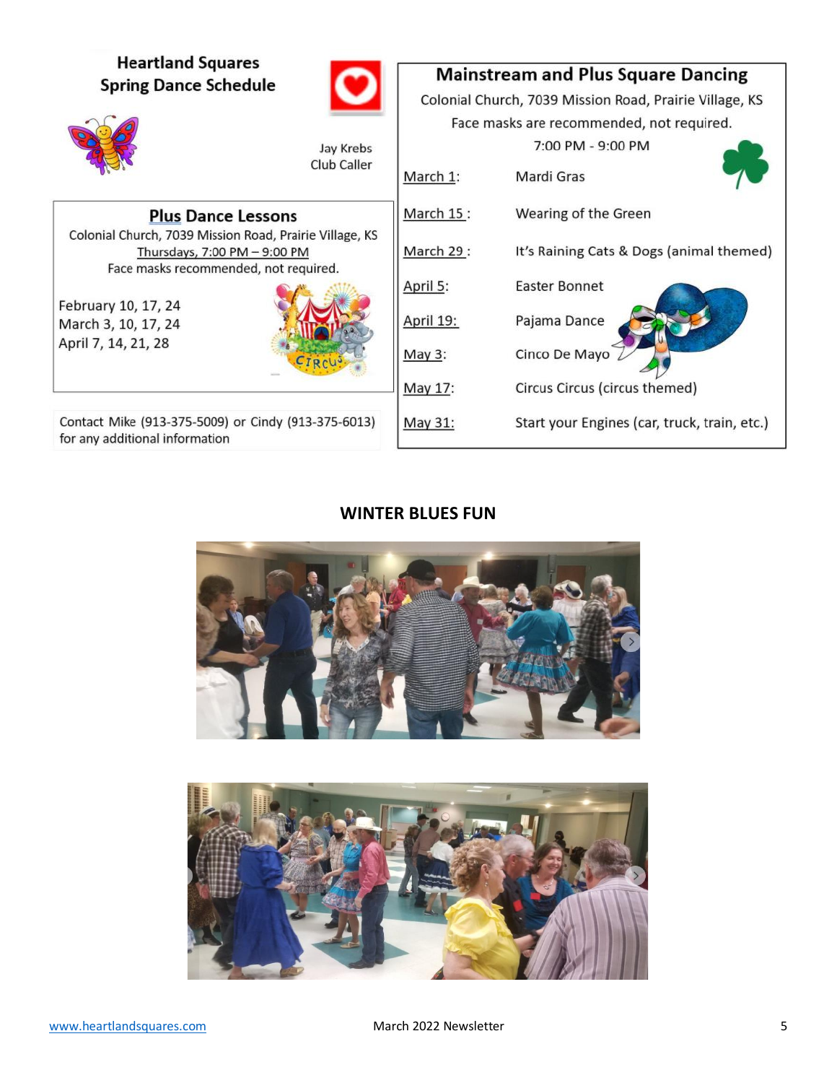**Heartland Squares Spring Dance Schedule** 





**Jay Krebs** Club Caller

### **Plus Dance Lessons**

Colonial Church, 7039 Mission Road, Prairie Village, KS Thursdays, 7:00 PM - 9:00 PM Face masks recommended, not required.

February 10, 17, 24 March 3, 10, 17, 24 April 7, 14, 21, 28



Contact Mike (913-375-5009) or Cindy (913-375-6013) for any additional information

|           | Face masks are recommended, not required.    |
|-----------|----------------------------------------------|
|           | 7:00 PM - 9:00 PM                            |
| March 1:  | Mardi Gras                                   |
| March 15: | Wearing of the Green                         |
| March 29: | It's Raining Cats & Dogs (animal themed)     |
| April 5:  | <b>Easter Bonnet</b>                         |
| April 19: | Pajama Dance                                 |
| May 3:    | Cinco De Mayo                                |
| May 17:   | Circus Circus (circus themed)                |
| May 31:   | Start your Engines (car, truck, train, etc.) |

**Mainstream and Plus Square Dancing** 

Colonial Church, 7039 Mission Road, Prairie Village, KS

## **WINTER BLUES FUN**